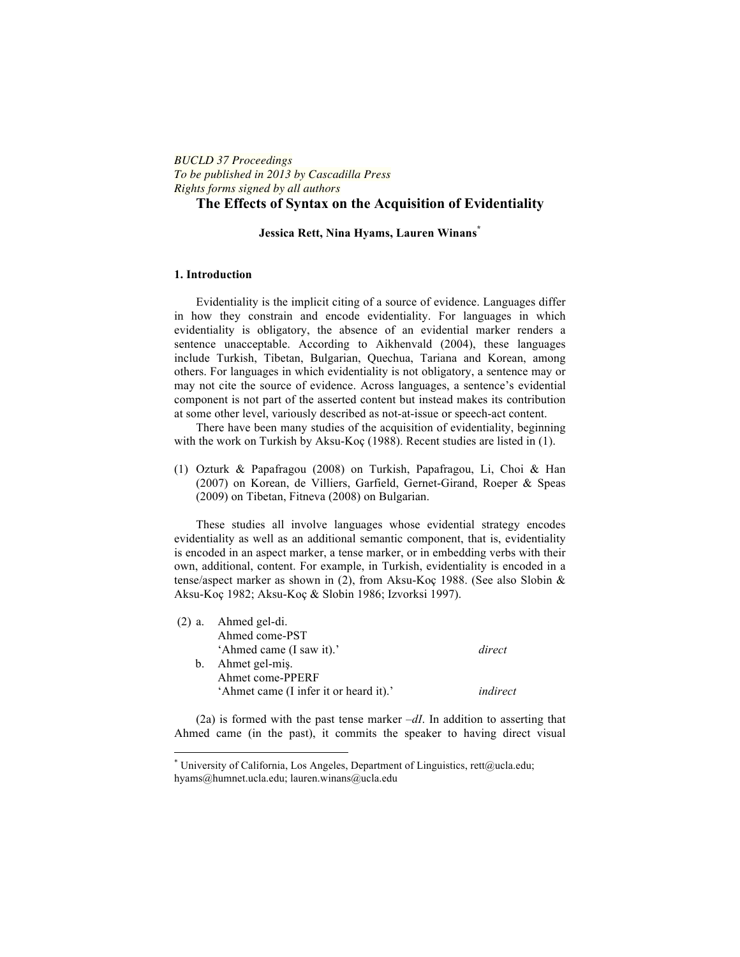# *BUCLD 37 Proceedings To be published in 2013 by Cascadilla Press Rights forms signed by all authors*

# **The Effects of Syntax on the Acquisition of Evidentiality**

# **Jessica Rett, Nina Hyams, Lauren Winans\***

### **1. Introduction**

Evidentiality is the implicit citing of a source of evidence. Languages differ in how they constrain and encode evidentiality. For languages in which evidentiality is obligatory, the absence of an evidential marker renders a sentence unacceptable. According to Aikhenvald (2004), these languages include Turkish, Tibetan, Bulgarian, Quechua, Tariana and Korean, among others. For languages in which evidentiality is not obligatory, a sentence may or may not cite the source of evidence. Across languages, a sentence's evidential component is not part of the asserted content but instead makes its contribution at some other level, variously described as not-at-issue or speech-act content.

There have been many studies of the acquisition of evidentiality, beginning with the work on Turkish by Aksu-Koç (1988). Recent studies are listed in (1).

(1) Ozturk & Papafragou (2008) on Turkish, Papafragou, Li, Choi & Han (2007) on Korean, de Villiers, Garfield, Gernet-Girand, Roeper & Speas (2009) on Tibetan, Fitneva (2008) on Bulgarian.

These studies all involve languages whose evidential strategy encodes evidentiality as well as an additional semantic component, that is, evidentiality is encoded in an aspect marker, a tense marker, or in embedding verbs with their own, additional, content. For example, in Turkish, evidentiality is encoded in a tense/aspect marker as shown in (2), from Aksu-Koç 1988. (See also Slobin & Aksu-Koç 1982; Aksu-Koç & Slobin 1986; Izvorksi 1997).

| $(2)$ a. Ahmed gel-di.                 |          |
|----------------------------------------|----------|
| Ahmed come-PST                         |          |
| 'Ahmed came (I saw it).'               | direct   |
| b. Ahmet gel-mis.                      |          |
| Ahmet come-PPERF                       |          |
| 'Ahmet came (I infer it or heard it).' | indirect |

(2a) is formed with the past tense marker  $-dI$ . In addition to asserting that Ahmed came (in the past), it commits the speaker to having direct visual

<u> 1989 - Jan Samuel Barbara, margaret e</u>

<sup>\*</sup> University of California, Los Angeles, Department of Linguistics, rett@ucla.edu; hyams@humnet.ucla.edu; lauren.winans@ucla.edu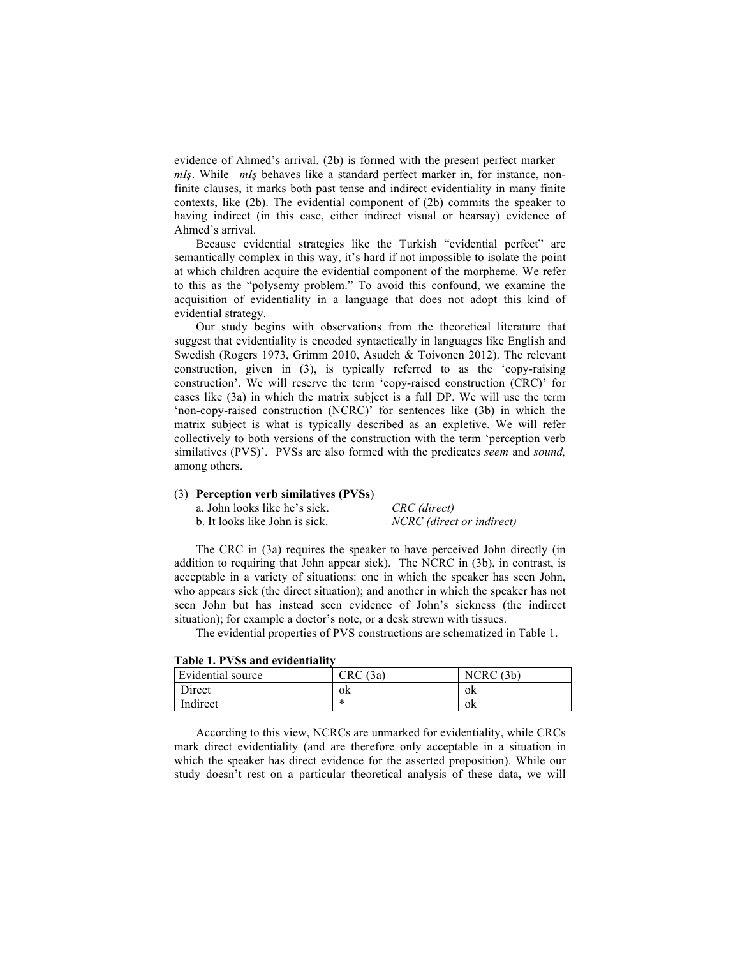evidence of Ahmed's arrival. (2b) is formed with the present perfect marker *– mIş*. While *–mIş* behaves like a standard perfect marker in, for instance, nonfinite clauses, it marks both past tense and indirect evidentiality in many finite contexts, like (2b). The evidential component of (2b) commits the speaker to having indirect (in this case, either indirect visual or hearsay) evidence of Ahmed's arrival.

Because evidential strategies like the Turkish "evidential perfect" are semantically complex in this way, it's hard if not impossible to isolate the point at which children acquire the evidential component of the morpheme. We refer to this as the "polysemy problem." To avoid this confound, we examine the acquisition of evidentiality in a language that does not adopt this kind of evidential strategy.

Our study begins with observations from the theoretical literature that suggest that evidentiality is encoded syntactically in languages like English and Swedish (Rogers 1973, Grimm 2010, Asudeh & Toivonen 2012). The relevant construction, given in (3), is typically referred to as the 'copy-raising construction'. We will reserve the term 'copy-raised construction (CRC)' for cases like (3a) in which the matrix subject is a full DP. We will use the term 'non-copy-raised construction (NCRC)' for sentences like (3b) in which the matrix subject is what is typically described as an expletive. We will refer collectively to both versions of the construction with the term 'perception verb similatives (PVS)'. PVSs are also formed with the predicates *seem* and *sound,*  among others.

#### (3) **Perception verb similatives (PVSs**)

| a. John looks like he's sick.  | CRC (direct)              |
|--------------------------------|---------------------------|
| b. It looks like John is sick. | NCRC (direct or indirect) |

The CRC in (3a) requires the speaker to have perceived John directly (in addition to requiring that John appear sick). The NCRC in (3b), in contrast, is acceptable in a variety of situations: one in which the speaker has seen John, who appears sick (the direct situation); and another in which the speaker has not seen John but has instead seen evidence of John's sickness (the indirect situation); for example a doctor's note, or a desk strewn with tissues.

The evidential properties of PVS constructions are schematized in Table 1.

| Evidential source | $\mathop{\rm CRC}\nolimits$<br>(3a) | $NCRC$ (3b) |
|-------------------|-------------------------------------|-------------|
| Direct            | 0K                                  | ΟK          |
| Indirect          | *                                   | Οk          |

**Table 1. PVSs and evidentiality**

According to this view, NCRCs are unmarked for evidentiality, while CRCs mark direct evidentiality (and are therefore only acceptable in a situation in which the speaker has direct evidence for the asserted proposition). While our study doesn't rest on a particular theoretical analysis of these data, we will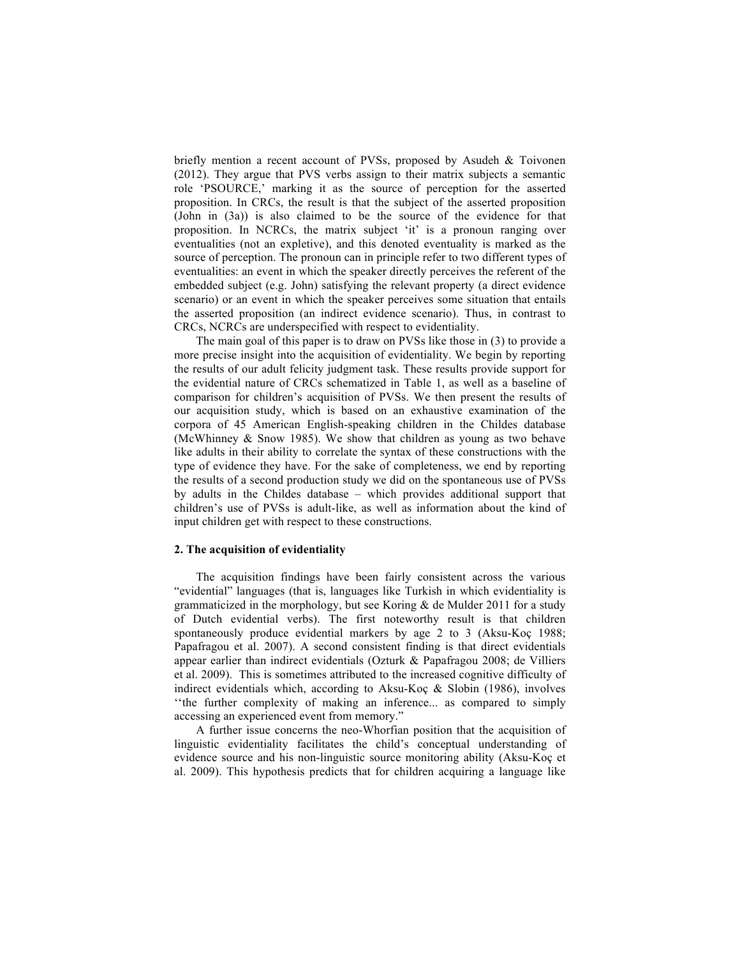briefly mention a recent account of PVSs, proposed by Asudeh & Toivonen (2012). They argue that PVS verbs assign to their matrix subjects a semantic role 'PSOURCE,' marking it as the source of perception for the asserted proposition. In CRCs, the result is that the subject of the asserted proposition (John in (3a)) is also claimed to be the source of the evidence for that proposition. In NCRCs, the matrix subject 'it' is a pronoun ranging over eventualities (not an expletive), and this denoted eventuality is marked as the source of perception. The pronoun can in principle refer to two different types of eventualities: an event in which the speaker directly perceives the referent of the embedded subject (e.g. John) satisfying the relevant property (a direct evidence scenario) or an event in which the speaker perceives some situation that entails the asserted proposition (an indirect evidence scenario). Thus, in contrast to CRCs, NCRCs are underspecified with respect to evidentiality.

The main goal of this paper is to draw on PVSs like those in (3) to provide a more precise insight into the acquisition of evidentiality. We begin by reporting the results of our adult felicity judgment task. These results provide support for the evidential nature of CRCs schematized in Table 1, as well as a baseline of comparison for children's acquisition of PVSs. We then present the results of our acquisition study, which is based on an exhaustive examination of the corpora of 45 American English-speaking children in the Childes database (McWhinney & Snow 1985). We show that children as young as two behave like adults in their ability to correlate the syntax of these constructions with the type of evidence they have. For the sake of completeness, we end by reporting the results of a second production study we did on the spontaneous use of PVSs by adults in the Childes database – which provides additional support that children's use of PVSs is adult-like, as well as information about the kind of input children get with respect to these constructions.

### **2. The acquisition of evidentiality**

The acquisition findings have been fairly consistent across the various "evidential" languages (that is, languages like Turkish in which evidentiality is grammaticized in the morphology, but see Koring & de Mulder 2011 for a study of Dutch evidential verbs). The first noteworthy result is that children spontaneously produce evidential markers by age 2 to 3 (Aksu-Koç 1988; Papafragou et al. 2007). A second consistent finding is that direct evidentials appear earlier than indirect evidentials (Ozturk & Papafragou 2008; de Villiers et al. 2009). This is sometimes attributed to the increased cognitive difficulty of indirect evidentials which, according to Aksu-Koç & Slobin (1986), involves ''the further complexity of making an inference... as compared to simply accessing an experienced event from memory."

A further issue concerns the neo-Whorfian position that the acquisition of linguistic evidentiality facilitates the child's conceptual understanding of evidence source and his non-linguistic source monitoring ability (Aksu-Koç et al. 2009). This hypothesis predicts that for children acquiring a language like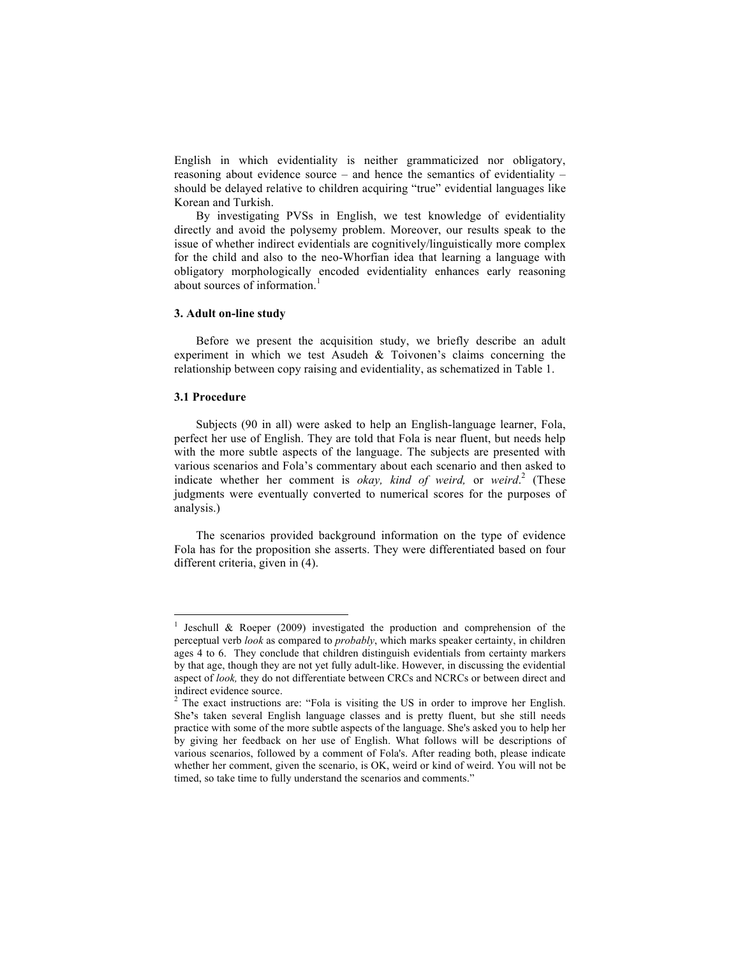English in which evidentiality is neither grammaticized nor obligatory, reasoning about evidence source – and hence the semantics of evidentiality – should be delayed relative to children acquiring "true" evidential languages like Korean and Turkish.

By investigating PVSs in English, we test knowledge of evidentiality directly and avoid the polysemy problem. Moreover, our results speak to the issue of whether indirect evidentials are cognitively/linguistically more complex for the child and also to the neo-Whorfian idea that learning a language with obligatory morphologically encoded evidentiality enhances early reasoning about sources of information.<sup>1</sup>

## **3. Adult on-line study**

<u> 1989 - Jan Samuel Barbara, margaret e</u>

Before we present the acquisition study, we briefly describe an adult experiment in which we test Asudeh & Toivonen's claims concerning the relationship between copy raising and evidentiality, as schematized in Table 1.

## **3.1 Procedure**

Subjects (90 in all) were asked to help an English-language learner, Fola, perfect her use of English. They are told that Fola is near fluent, but needs help with the more subtle aspects of the language. The subjects are presented with various scenarios and Fola's commentary about each scenario and then asked to indicate whether her comment is *okay, kind of weird,* or *weird*. <sup>2</sup> (These judgments were eventually converted to numerical scores for the purposes of analysis.)

The scenarios provided background information on the type of evidence Fola has for the proposition she asserts. They were differentiated based on four different criteria, given in (4).

Jeschull  $\&$  Roeper (2009) investigated the production and comprehension of the perceptual verb *look* as compared to *probably*, which marks speaker certainty, in children ages 4 to 6. They conclude that children distinguish evidentials from certainty markers by that age, though they are not yet fully adult-like. However, in discussing the evidential aspect of *look,* they do not differentiate between CRCs and NCRCs or between direct and indirect evidence source.

The exact instructions are: "Fola is visiting the US in order to improve her English. She**'**s taken several English language classes and is pretty fluent, but she still needs practice with some of the more subtle aspects of the language. She's asked you to help her by giving her feedback on her use of English. What follows will be descriptions of various scenarios, followed by a comment of Fola's. After reading both, please indicate whether her comment, given the scenario, is OK, weird or kind of weird. You will not be timed, so take time to fully understand the scenarios and comments."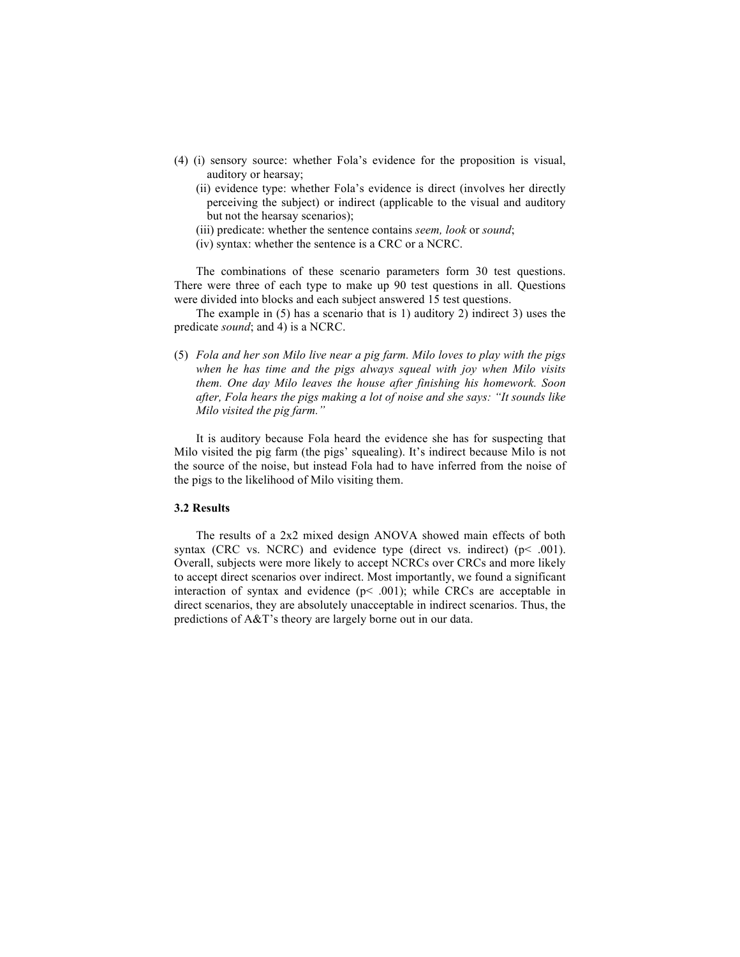- (4) (i) sensory source: whether Fola's evidence for the proposition is visual, auditory or hearsay;
	- (ii) evidence type: whether Fola's evidence is direct (involves her directly perceiving the subject) or indirect (applicable to the visual and auditory but not the hearsay scenarios);
	- (iii) predicate: whether the sentence contains *seem, look* or *sound*;
	- (iv) syntax: whether the sentence is a CRC or a NCRC.

The combinations of these scenario parameters form 30 test questions. There were three of each type to make up 90 test questions in all. Questions were divided into blocks and each subject answered 15 test questions.

The example in (5) has a scenario that is 1) auditory 2) indirect 3) uses the predicate *sound*; and 4) is a NCRC.

(5) *Fola and her son Milo live near a pig farm. Milo loves to play with the pigs when he has time and the pigs always squeal with joy when Milo visits them. One day Milo leaves the house after finishing his homework. Soon after, Fola hears the pigs making a lot of noise and she says: "It sounds like Milo visited the pig farm."*

It is auditory because Fola heard the evidence she has for suspecting that Milo visited the pig farm (the pigs' squealing). It's indirect because Milo is not the source of the noise, but instead Fola had to have inferred from the noise of the pigs to the likelihood of Milo visiting them.

### **3.2 Results**

The results of a 2x2 mixed design ANOVA showed main effects of both syntax (CRC vs. NCRC) and evidence type (direct vs. indirect) ( $p$ < .001). Overall, subjects were more likely to accept NCRCs over CRCs and more likely to accept direct scenarios over indirect. Most importantly, we found a significant interaction of syntax and evidence  $(p< .001)$ ; while CRCs are acceptable in direct scenarios, they are absolutely unacceptable in indirect scenarios. Thus, the predictions of A&T's theory are largely borne out in our data.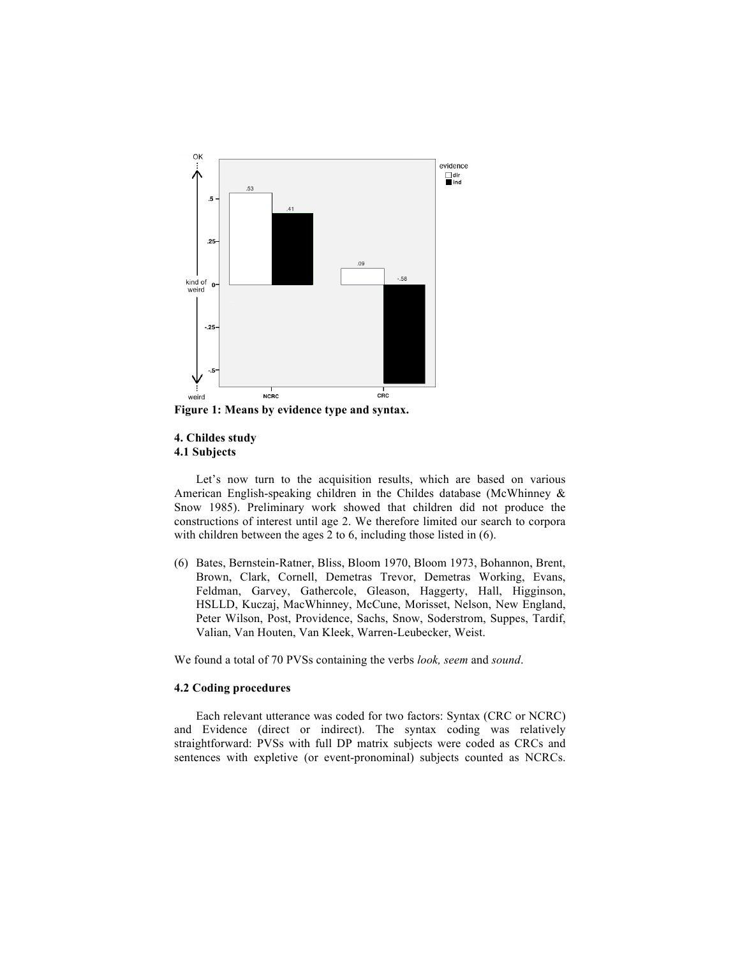

**Figure 1: Means by evidence type and syntax.**

## **4. Childes study 4.1 Subjects**

Let's now turn to the acquisition results, which are based on various American English-speaking children in the Childes database (McWhinney & Snow 1985). Preliminary work showed that children did not produce the constructions of interest until age 2. We therefore limited our search to corpora with children between the ages 2 to 6, including those listed in  $(6)$ .

(6) Bates, Bernstein-Ratner, Bliss, Bloom 1970, Bloom 1973, Bohannon, Brent, Brown, Clark, Cornell, Demetras Trevor, Demetras Working, Evans, Feldman, Garvey, Gathercole, Gleason, Haggerty, Hall, Higginson, HSLLD, Kuczaj, MacWhinney, McCune, Morisset, Nelson, New England, Peter Wilson, Post, Providence, Sachs, Snow, Soderstrom, Suppes, Tardif, Valian, Van Houten, Van Kleek, Warren-Leubecker, Weist.

We found a total of 70 PVSs containing the verbs *look, seem* and *sound*.

## **4.2 Coding procedures**

Each relevant utterance was coded for two factors: Syntax (CRC or NCRC) and Evidence (direct or indirect). The syntax coding was relatively straightforward: PVSs with full DP matrix subjects were coded as CRCs and sentences with expletive (or event-pronominal) subjects counted as NCRCs.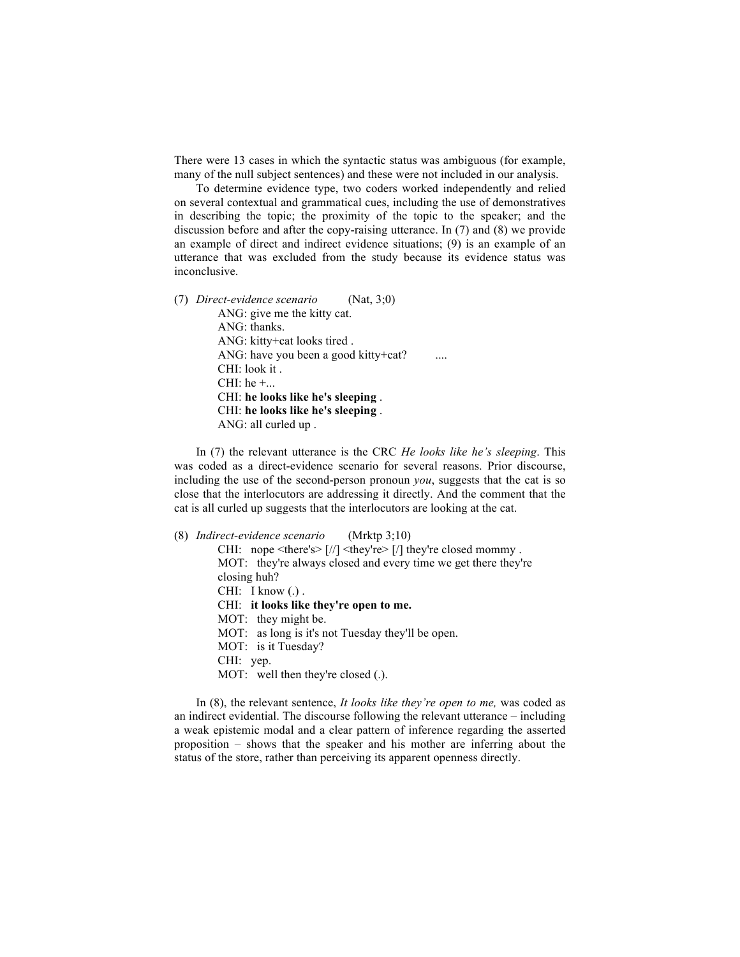There were 13 cases in which the syntactic status was ambiguous (for example, many of the null subject sentences) and these were not included in our analysis.

To determine evidence type, two coders worked independently and relied on several contextual and grammatical cues, including the use of demonstratives in describing the topic; the proximity of the topic to the speaker; and the discussion before and after the copy-raising utterance. In (7) and (8) we provide an example of direct and indirect evidence situations; (9) is an example of an utterance that was excluded from the study because its evidence status was inconclusive.

(7) *Direct-evidence scenario* (Nat, 3;0) ANG: give me the kitty cat. ANG: thanks. ANG: kitty+cat looks tired . ANG: have you been a good kitty+cat? CHI: look it . CHI: he  $+...$ CHI: **he looks like he's sleeping** . CHI: **he looks like he's sleeping** . ANG: all curled up .

In (7) the relevant utterance is the CRC *He looks like he's sleeping*. This was coded as a direct-evidence scenario for several reasons. Prior discourse, including the use of the second-person pronoun *you*, suggests that the cat is so close that the interlocutors are addressing it directly. And the comment that the cat is all curled up suggests that the interlocutors are looking at the cat.

(8) *Indirect-evidence scenario* (Mrktp 3;10) CHI: nope  $\langle \text{there's} \rangle$   $\frac{|}{|} \langle \text{they're} \rangle$   $\frac{|}{|} \langle \text{they're closed memory} \rangle$ . MOT: they're always closed and every time we get there they're closing huh? CHI: I know (.). CHI: **it looks like they're open to me.** MOT: they might be. MOT: as long is it's not Tuesday they'll be open. MOT: is it Tuesday? CHI: yep. MOT: well then they're closed (.).

In (8), the relevant sentence, *It looks like they're open to me,* was coded as an indirect evidential. The discourse following the relevant utterance – including a weak epistemic modal and a clear pattern of inference regarding the asserted proposition – shows that the speaker and his mother are inferring about the status of the store, rather than perceiving its apparent openness directly.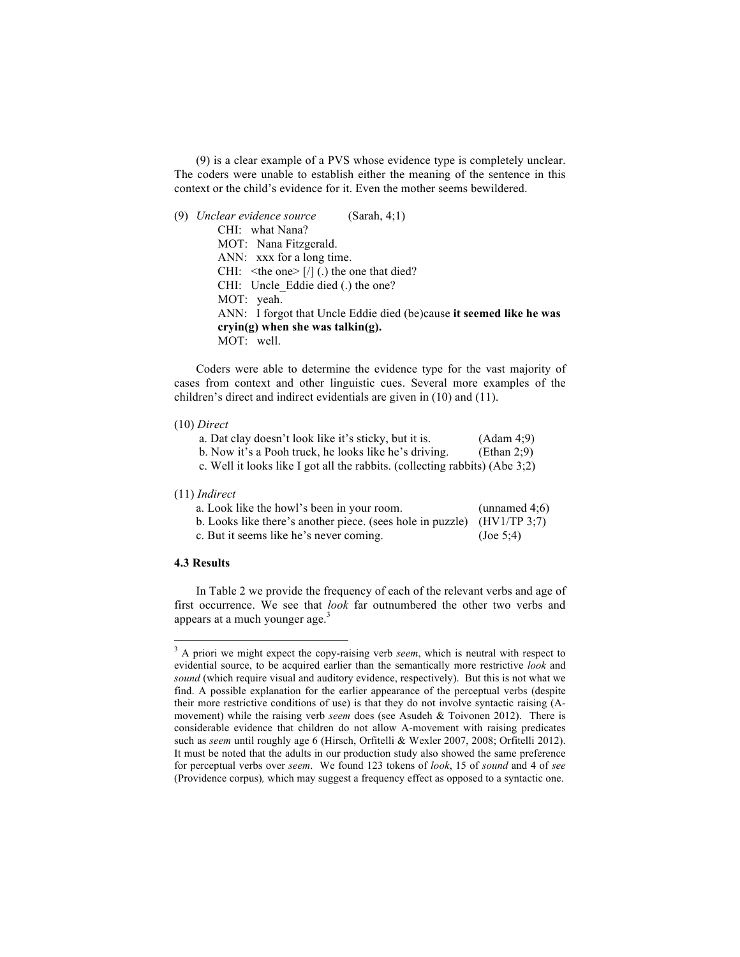(9) is a clear example of a PVS whose evidence type is completely unclear. The coders were unable to establish either the meaning of the sentence in this context or the child's evidence for it. Even the mother seems bewildered.

# (9) *Unclear evidence source* (Sarah, 4;1) CHI: what Nana? MOT: Nana Fitzgerald. ANN: xxx for a long time. CHI:  $\lt$ the one> [/] (.) the one that died? CHI: Uncle Eddie died (.) the one? MOT: yeah. ANN: I forgot that Uncle Eddie died (be)cause **it seemed like he was cryin(g) when she was talkin(g).** MOT: well.

Coders were able to determine the evidence type for the vast majority of cases from context and other linguistic cues. Several more examples of the children's direct and indirect evidentials are given in (10) and (11).

### (10) *Direct*

| a. Dat clay doesn't look like it's sticky, but it is.                          | (Adam 4;9)  |
|--------------------------------------------------------------------------------|-------------|
| b. Now it's a Pooh truck, he looks like he's driving.                          | (Ethan 2:9) |
| c. Well it looks like I got all the rabbits. (collecting rabbits) (Abe $3:2$ ) |             |

## (11) *Indirect*

| a. Look like the howl's been in your room.                               | (unnamed $4;6$ ) |
|--------------------------------------------------------------------------|------------------|
| b. Looks like there's another piece. (sees hole in puzzle) $(HV1/TP3;7)$ |                  |
| c. But it seems like he's never coming.                                  | $($ Joe 5:4)     |

### **4.3 Results**

<u> 1989 - Jan Samuel Barbara, margaret e</u>

In Table 2 we provide the frequency of each of the relevant verbs and age of first occurrence. We see that *look* far outnumbered the other two verbs and appears at a much younger age. $3$ 

<sup>&</sup>lt;sup>3</sup> A priori we might expect the copy-raising verb *seem*, which is neutral with respect to evidential source, to be acquired earlier than the semantically more restrictive *look* and *sound* (which require visual and auditory evidence, respectively). But this is not what we find. A possible explanation for the earlier appearance of the perceptual verbs (despite their more restrictive conditions of use) is that they do not involve syntactic raising (Amovement) while the raising verb *seem* does (see Asudeh & Toivonen 2012). There is considerable evidence that children do not allow A-movement with raising predicates such as *seem* until roughly age 6 (Hirsch, Orfitelli & Wexler 2007, 2008; Orfitelli 2012). It must be noted that the adults in our production study also showed the same preference for perceptual verbs over *seem*. We found 123 tokens of *look*, 15 of *sound* and 4 of *see*  (Providence corpus)*,* which may suggest a frequency effect as opposed to a syntactic one.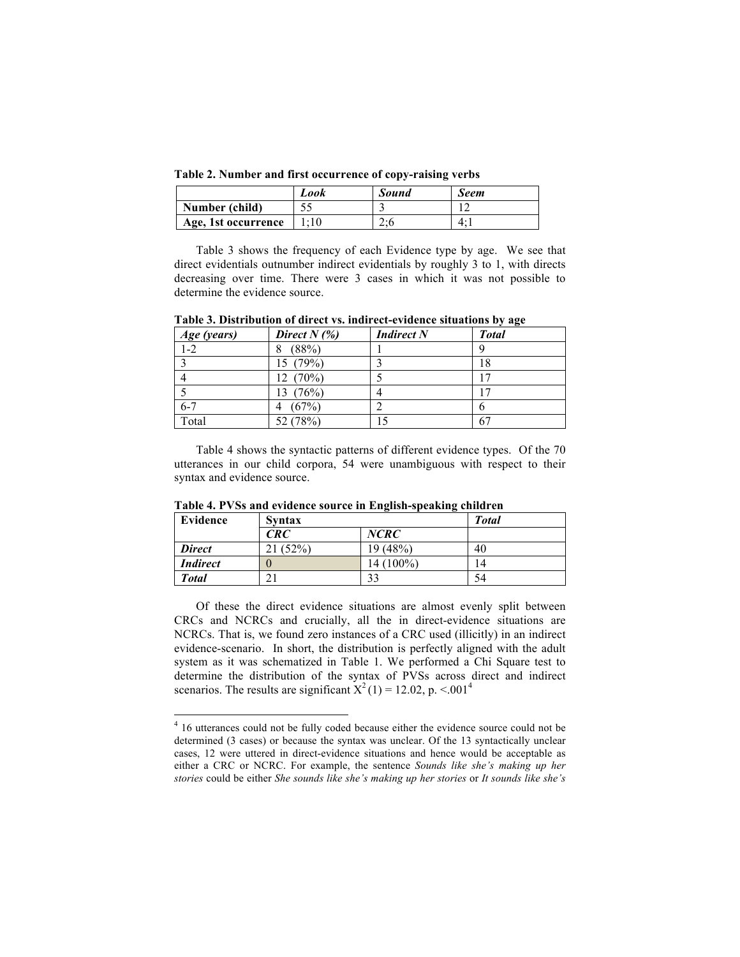**Table 2. Number and first occurrence of copy-raising verbs**

|                     | Look | <b>Sound</b>                           | Seem |
|---------------------|------|----------------------------------------|------|
| Number (child)      |      |                                        |      |
| Age, 1st occurrence |      | $\mathcal{D} \cdot \mathcal{L}$<br>4.U |      |

Table 3 shows the frequency of each Evidence type by age. We see that direct evidentials outnumber indirect evidentials by roughly 3 to 1, with directs decreasing over time. There were 3 cases in which it was not possible to determine the evidence source.

| Age (years) | Direct $N(\%)$ | <b>Indirect N</b> | <b>Total</b> |
|-------------|----------------|-------------------|--------------|
| $1-2$       | (88%)<br>8     |                   |              |
|             | 15 (79%)       |                   | 18           |
|             | 12 (70%)       |                   |              |
|             | 13 (76%)       |                   |              |
| $6 - 7$     | (67%)<br>4     |                   |              |
| Total       | 52 (78%)       |                   | 67           |

**Table 3. Distribution of direct vs. indirect-evidence situations by age**

Table 4 shows the syntactic patterns of different evidence types. Of the 70 utterances in our child corpora, 54 were unambiguous with respect to their syntax and evidence source.

| Evidence        | $\epsilon$<br>-<br><b>Syntax</b> |             | <b>Total</b> |
|-----------------|----------------------------------|-------------|--------------|
|                 | CRC                              | <b>NCRC</b> |              |
| <b>Direct</b>   | (52%)                            | 19 (48%)    | 40           |
| <b>Indirect</b> |                                  | 14 (100%)   | 14           |
| <b>Total</b>    |                                  | 33          | 54           |

**Table 4. PVSs and evidence source in English-speaking children** 

Of these the direct evidence situations are almost evenly split between CRCs and NCRCs and crucially, all the in direct-evidence situations are NCRCs. That is, we found zero instances of a CRC used (illicitly) in an indirect evidence-scenario. In short, the distribution is perfectly aligned with the adult system as it was schematized in Table 1. We performed a Chi Square test to determine the distribution of the syntax of PVSs across direct and indirect scenarios. The results are significant  $X^2(1) = 12.02$ , p. <.001<sup>4</sup>

<u> 1989 - Jan Samuel Barbara, margaret e</u>

<sup>&</sup>lt;sup>4</sup> 16 utterances could not be fully coded because either the evidence source could not be determined (3 cases) or because the syntax was unclear. Of the 13 syntactically unclear cases, 12 were uttered in direct-evidence situations and hence would be acceptable as either a CRC or NCRC. For example, the sentence *Sounds like she's making up her stories* could be either *She sounds like she's making up her stories* or *It sounds like she's*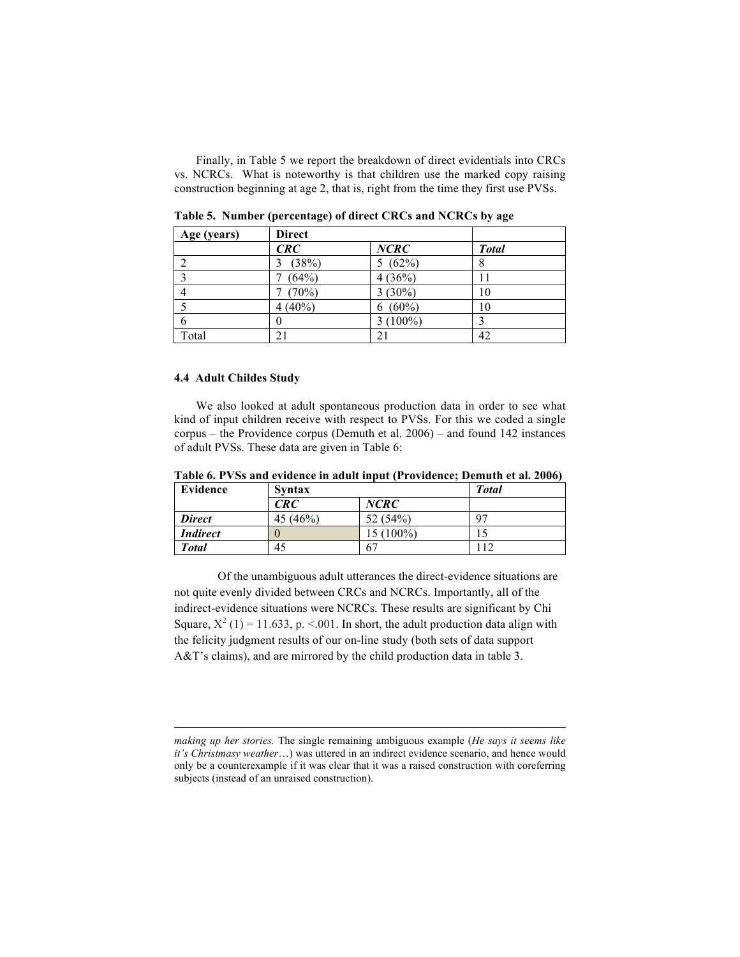Finally, in Table 5 we report the breakdown of direct evidentials into CRCs vs. NCRCs. What is noteworthy is that children use the marked copy raising construction beginning at age 2, that is, right from the time they first use PVSs.

| Age (years) | <b>Direct</b> |               |              |
|-------------|---------------|---------------|--------------|
|             | CRC           | NCRC          | <b>Total</b> |
|             | (38%)         | 5(62%)        | 8            |
|             | (64%)         | 4(36%)        |              |
|             | (70%)         | $3(30\%)$     | 10           |
|             | $4(40\%)$     | $(60\%)$<br>6 | 10           |
| 6           | 0             | $3(100\%)$    |              |
| Total       |               |               | 42           |

**Table 5. Number (percentage) of direct CRCs and NCRCs by age**

## **4.4 Adult Childes Study**

We also looked at adult spontaneous production data in order to see what kind of input children receive with respect to PVSs. For this we coded a single corpus – the Providence corpus (Demuth et al. 2006) – and found 142 instances of adult PVSs. These data are given in Table 6:

|  |  |  | Table 6. PVSs and evidence in adult input (Providence; Demuth et al. 2006) |  |
|--|--|--|----------------------------------------------------------------------------|--|
|  |  |  |                                                                            |  |

| Evidence        | <b>Syntax</b> | <b>Total</b> |     |
|-----------------|---------------|--------------|-----|
|                 | CRC           | <b>NCRC</b>  |     |
| <b>Direct</b>   | 45 (46%)      | 52 (54%)     | 97  |
| <b>Indirect</b> |               | 15 (100%)    |     |
| <b>Total</b>    | 45            | 67           | 112 |

Of the unambiguous adult utterances the direct-evidence situations are not quite evenly divided between CRCs and NCRCs. Importantly, all of the indirect-evidence situations were NCRCs. These results are significant by Chi Square,  $X^2$  (1) = 11.633, p. <.001. In short, the adult production data align with the felicity judgment results of our on-line study (both sets of data support A&T's claims), and are mirrored by the child production data in table 3.

 

*making up her stories.* The single remaining ambiguous example (*He says it seems like it's Christmasy weather*…) was uttered in an indirect evidence scenario, and hence would only be a counterexample if it was clear that it was a raised construction with coreferring subjects (instead of an unraised construction).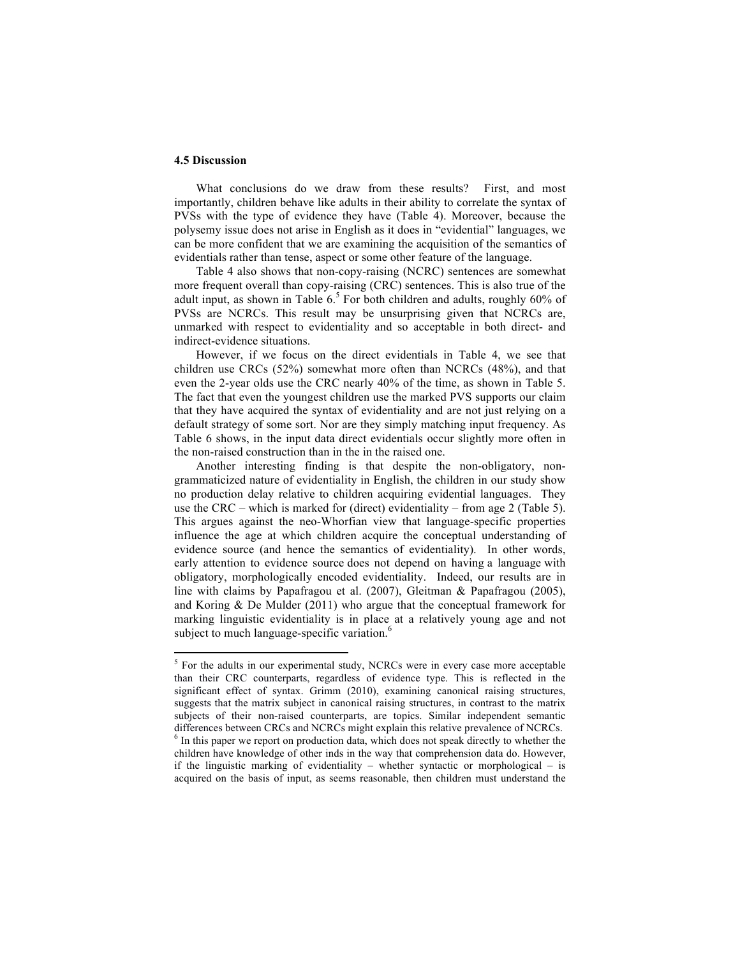# **4.5 Discussion**

What conclusions do we draw from these results? First, and most importantly, children behave like adults in their ability to correlate the syntax of PVSs with the type of evidence they have (Table 4). Moreover, because the polysemy issue does not arise in English as it does in "evidential" languages, we can be more confident that we are examining the acquisition of the semantics of evidentials rather than tense, aspect or some other feature of the language.

Table 4 also shows that non-copy-raising (NCRC) sentences are somewhat more frequent overall than copy-raising (CRC) sentences. This is also true of the adult input, as shown in Table 6. <sup>5</sup> For both children and adults, roughly 60% of PVSs are NCRCs. This result may be unsurprising given that NCRCs are, unmarked with respect to evidentiality and so acceptable in both direct- and indirect-evidence situations.

However, if we focus on the direct evidentials in Table 4, we see that children use CRCs (52%) somewhat more often than NCRCs (48%), and that even the 2-year olds use the CRC nearly 40% of the time, as shown in Table 5. The fact that even the youngest children use the marked PVS supports our claim that they have acquired the syntax of evidentiality and are not just relying on a default strategy of some sort. Nor are they simply matching input frequency. As Table 6 shows, in the input data direct evidentials occur slightly more often in the non-raised construction than in the in the raised one.

Another interesting finding is that despite the non-obligatory, nongrammaticized nature of evidentiality in English, the children in our study show no production delay relative to children acquiring evidential languages. They use the CRC – which is marked for (direct) evidentiality – from age 2 (Table 5). This argues against the neo-Whorfian view that language-specific properties influence the age at which children acquire the conceptual understanding of evidence source (and hence the semantics of evidentiality). In other words, early attention to evidence source does not depend on having a language with obligatory, morphologically encoded evidentiality. Indeed, our results are in line with claims by Papafragou et al. (2007), Gleitman & Papafragou (2005), and Koring & De Mulder (2011) who argue that the conceptual framework for marking linguistic evidentiality is in place at a relatively young age and not subject to much language-specific variation.<sup>6</sup>

<u> 1989 - Jan Samuel Barbara, margaret e</u>

<sup>&</sup>lt;sup>5</sup> For the adults in our experimental study, NCRCs were in every case more acceptable than their CRC counterparts, regardless of evidence type. This is reflected in the significant effect of syntax. Grimm (2010), examining canonical raising structures, suggests that the matrix subject in canonical raising structures, in contrast to the matrix subjects of their non-raised counterparts, are topics. Similar independent semantic differences between CRCs and NCRCs might explain this relative prevalence of NCRCs. <sup>6</sup> In this paper we report on production data, which does not speak directly to whether the children have knowledge of other inds in the way that comprehension data do. However, if the linguistic marking of evidentiality – whether syntactic or morphological – is acquired on the basis of input, as seems reasonable, then children must understand the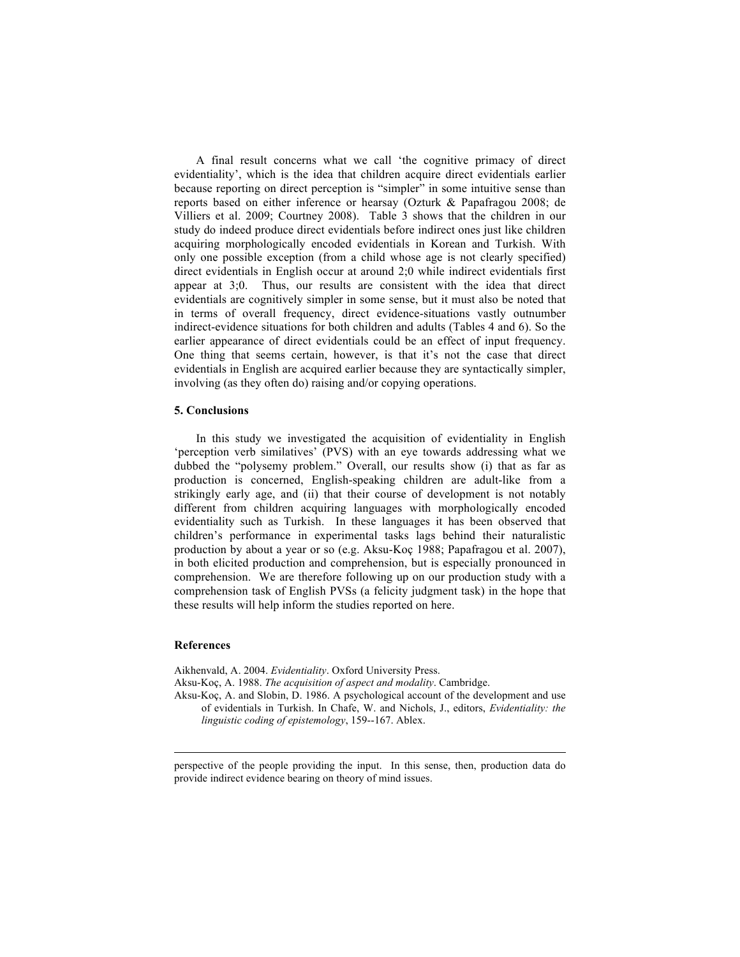A final result concerns what we call 'the cognitive primacy of direct evidentiality', which is the idea that children acquire direct evidentials earlier because reporting on direct perception is "simpler" in some intuitive sense than reports based on either inference or hearsay (Ozturk & Papafragou 2008; de Villiers et al. 2009; Courtney 2008). Table 3 shows that the children in our study do indeed produce direct evidentials before indirect ones just like children acquiring morphologically encoded evidentials in Korean and Turkish. With only one possible exception (from a child whose age is not clearly specified) direct evidentials in English occur at around 2;0 while indirect evidentials first appear at 3;0. Thus, our results are consistent with the idea that direct evidentials are cognitively simpler in some sense, but it must also be noted that in terms of overall frequency, direct evidence-situations vastly outnumber indirect-evidence situations for both children and adults (Tables 4 and 6). So the earlier appearance of direct evidentials could be an effect of input frequency. One thing that seems certain, however, is that it's not the case that direct evidentials in English are acquired earlier because they are syntactically simpler, involving (as they often do) raising and/or copying operations.

### **5. Conclusions**

In this study we investigated the acquisition of evidentiality in English 'perception verb similatives' (PVS) with an eye towards addressing what we dubbed the "polysemy problem." Overall, our results show (i) that as far as production is concerned, English-speaking children are adult-like from a strikingly early age, and (ii) that their course of development is not notably different from children acquiring languages with morphologically encoded evidentiality such as Turkish. In these languages it has been observed that children's performance in experimental tasks lags behind their naturalistic production by about a year or so (e.g. Aksu-Koç 1988; Papafragou et al. 2007), in both elicited production and comprehension, but is especially pronounced in comprehension. We are therefore following up on our production study with a comprehension task of English PVSs (a felicity judgment task) in the hope that these results will help inform the studies reported on here.

## **References**

Aikhenvald, A. 2004. *Evidentiality*. Oxford University Press.

Aksu-Koç, A. 1988. *The acquisition of aspect and modality*. Cambridge.

Aksu-Koç, A. and Slobin, D. 1986. A psychological account of the development and use of evidentials in Turkish. In Chafe, W. and Nichols, J., editors, *Evidentiality: the linguistic coding of epistemology*, 159--167. Ablex.

 perspective of the people providing the input. In this sense, then, production data do provide indirect evidence bearing on theory of mind issues.